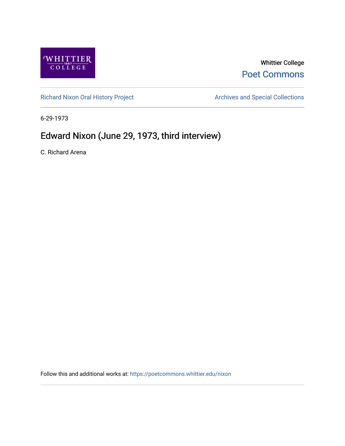

## Whittier College [Poet Commons](https://poetcommons.whittier.edu/)

[Richard Nixon Oral History Project](https://poetcommons.whittier.edu/nixon) **Archives and Special Collections** Archives and Special Collections

6-29-1973

## Edward Nixon (June 29, 1973, third interview)

C. Richard Arena

Follow this and additional works at: [https://poetcommons.whittier.edu/nixon](https://poetcommons.whittier.edu/nixon?utm_source=poetcommons.whittier.edu%2Fnixon%2F23&utm_medium=PDF&utm_campaign=PDFCoverPages)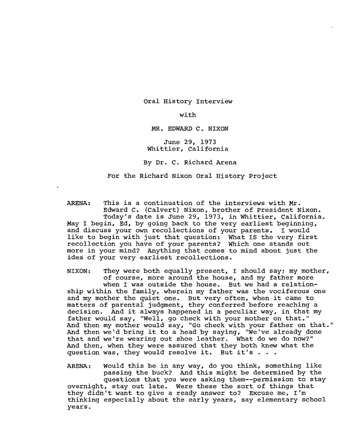Oral History Interview

with

MR. EDWARD C. NIXON

June 29, 1973 Whittier, California

By Dr. C. Richard Arena

For the Richard Nixon Oral History Project

ARENA: This is a continuation of the interviews with Mr. Edward C. (Calvert) Nixon, brother of President Nixon. Today's date is June 29, 1973, in Whittier, California. May I begin, Ed, by going back to the very earliest beginning, and discuss your own recollections of your parents. I would like to begin with just that question: What IS the very first recollection you have of your parents? Which one stands out more in your mind? Anything that comes to mind about just the idea of your very earliest recollections.

NIXON: They were both equally present, I should say; my mother, of course, more around the house, and my father more when I was outside the house. But we had a relationship within the family, wherein my father was the vociferous one and my mother the quiet one. But very often, when it came to matters of parental judgment, they conferred before reaching a decision. And it always happened in a peculiar way, in that my father would say, "Well, go check with your mother on that." And then my mother would say, "Go check with your father on that." And then we'd bring it to a head by saying, "We've already done that and we're wearing out shoe leather. What do we do now?" And then, when they were assured that they both knew what the question was, they would resolve it. But it's.

ARENA: Would this be in any way, do you think, something like passing the buck? And this might be determined by the questions that you were asking them--permission to stay overnight, stay out late. Were these the sort of things that they didn't want to give a ready answer to? Excuse me, I'm thinking especially about the early years, say elementary school years.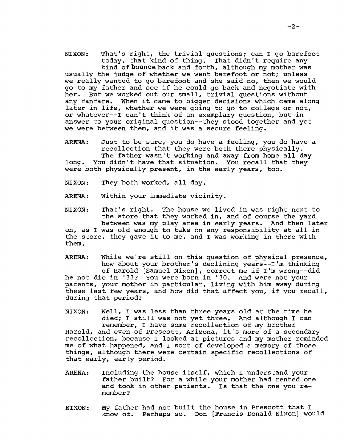NIXON: That's right, the trivial questions; can I go barefoot<br>today, that kind of thing. That didn't require any today, that kind of thing. kind of bounce back and forth, although my mother was usually the judge of whether we went barefoot or not; unless we really wanted to go barefoot and she said no, then we would go to my father and see if he could go back and negotiate with her. But we worked out our small, trivial questions without any fanfare. When it came to bigger decisions which came along later in life, whether we were going to go to college or not, or whatever--I can't think of an exemplary question, but in answer to your original question--they stood together and yet we were between them, and it was a secure feeling.

ARENA: Just to be sure, you do have a feeling, you do have a recollection that they were both there physically. The father wasn't working and away from home all day long. You didn't have that situation. You recall that they

were both physically present, in the early years, too.

NIXON: They both worked, all day.

ARENA: within your immediate vicinity.

NIXON: That's right. The house we lived in was right next to the store that they worked in, and of course the yard between was my play area in early years. And then later on, as I was old enough to take on any responsibility at all in the store, they gave it to me, and I was working in there with them.

ARENA: While we're still on this question of physical presence, how about your brother's declining years--I'm thinking of Harold [Samuel Nixon], correct me if I'm wrong--did he not die in '33? You were born in '3D. And were not your parents, your mother in particular, living with him away during these last few years, and how did that affect you, if you recall, during that period?

NIXON: Well, I was less than three years old at the time he died; I still was not yet three. And although I can remember, I have some recollection of my brother Harold, and even of prescott, Arizona, it's more of a secondary recollection, because I looked at pictures and my mother reminded me of what happened, and I sort of developed a memory of those things, although there were certain specific recollections of that early, early period.

- ARENA: Including the house itself, which I understand your father built? For a while your mother had rented one and took in other patients. Is that the one you remember?
- NIXON: My father had not built the house in Prescott that I know of. Perhaps so. Don [Francis Donald Nixon] would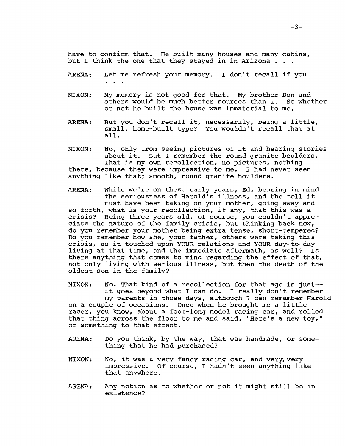have to confirm that. He built many houses and many cabins, but I think the one that they stayed in in Arizona  $\ldots$ 

- ARENA: Let me refresh your memory. I don't recall if you
- NIXON: My memory is not good for that. My brother Don and<br>others would be much better sources than I. So whether others would be much better sources than I. or not he built the house was immaterial to me.
- ARENA: But you don't recall it, necessarily, being a little, small, home-built type? You wouldn't recall that at all.
- NIXON: No, only from seeing pictures of it and hearing stories about it. But I remember the round granite boulders. That is my own recollection, no pictures, nothing there, because they were impressive to me. I had never seen anything like that; smooth, round granite boulders.
- ARENA: While we're on these early years, Ed, bearing in mind the seriousness of Harold's illness, and the toll it must have been taking on your mother, going away and so forth, what is your recollection, if any, that this was a crisis? Being three years old, of course, you couldn't appreciate the nature of the family crisis, but thinking back now, do you remember your mother being extra tense, short-tempered? Do you remember how she, your father, others were taking this crisis, as it touched upon YOUR relations and YOUR day-to-day<br>living at that time, and the immediate aftermath, as well? Is living at that time, and the immediate aftermath, as  $vc11$ ? there anything that comes to mind regarding the effect of that, not only living with serious illness, but then the death of the oldest son in the family?

NIXON: No. That kind of a recollection for that age is just-it goes beyond what I can do. I really don't remember my parents in those days, although I can remember Harold

on a couple of occasions. Once when he brought me a little racer, you know, about a foot-long model racing car, and rolled that thing across the floor to me and said, "Here's a new toy," or something to that effect.

- ARENA: Do you think, by the way, that was handmade, or something that he had purchased?
- NIXON: No, it was a very fancy racing car, and very, very impressive. Of course, I hadn't seen anything like that anywhere.
- ARENA: Any notion as to whether or not it might still be in existence?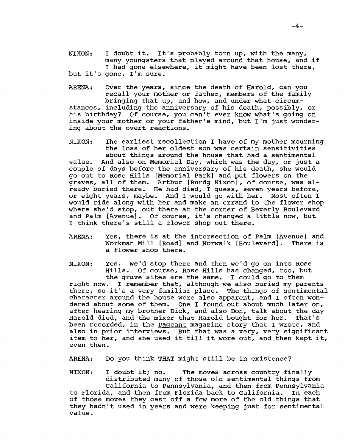NIXON: I doubt it. It's probably torn up, with the many, many youngsters that played around that house, and if I had gone elsewhere, it might have been lost there, but it's gone, I'm sure.

ARENA: Over the years, since the death of Harold, can you recall your mother or father, members of the family bringing that up, and how, and under what circumstances, including the anniversary of his death, possibly, or his birthday? Of course, you can't ever know what's going on inside your mother or your father's mind, but I'm just wondering about the overt reactions.

NIXON: The earliest recollection I have of my mother mourning the loss of her oldest son was certain sensitivities about things around the house that had a sentimental value. And also on Memorial Day, which was the day, or just a couple of days before the anniversary of his death, she would go out to Rose Hills [Memorial Park] and put flowers on the graves, all of them. Arthur [Burdg Nixon], of course, was already buried there. He had died, I guess, seven years before, or eight years, maybe. And I would go with her. Most often I would ride along with her and make an errand to the flower shop where she'd stop, out there at the corner of Beverly Boulevard and Palm [Avenue]. Of course, it's changed a little now, but I think there's still a flower shop out there.

ARENA: Yes, there is at the intersection of Palm [Avenue] and Workman Mill [Road] and Norwalk [Boulevard]. There is a flower shop there.

NIXON: Yes. We'd stop there and then we'd go on into Rose Hills. Of course, Rose Hills has changed, too, but the grave sites are the same. I could go to them<br>right now. I remember that, although we also buried my par I remember that, although we also buried my parents there, so it's a very familiar place. The things of sentimental character around the house were also apparent, and I often wondered about some of them. One I found out about much later on, after hearing my brother Dick, and also Don, talk about the day<br>Harold died, and the mixer that Harold bought for her. That's Harold died, and the mixer that Harold bought for her. been recorded, in the Pageant magazine story that I wrote, and also in prior interviews. But that was a very, very significant item to her, and she used it till it wore out, and then kept it, even then.

ARENA: Do you think THAT might still be in existence?

NIXON: I doubt it; no. The moves across country finally distributed many of those old sentimental things from California to Pennsylvania, and then from Pennsylvania to Florida, and then from Florida back to California. In each of those moves they cast off a few more of the old things that they hadn't used in years and were keeping just for sentimental value.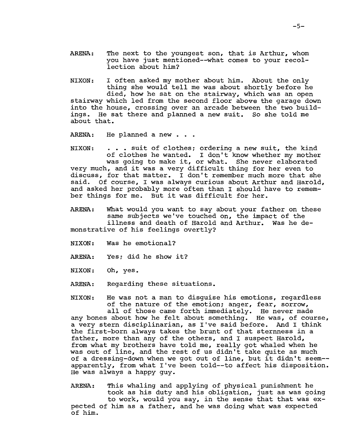ARENA: The next to the youngest son, that is Arthur, whom you have just mentioned--what comes to your recollection about him?

NIXON: I often asked my mother about him. About the only thing she would tell me was about shortly before he died, how he sat on the stairway, which was an open stairway which led from the second floor above the garage down into the house, crossing over an arcade between the two buildings. He sat there and planned a new suit. So she told me about that.

ARENA: He planned a new . . .

NIXON: . . . suit of clothes; ordering a new suit, the kind of clothes he wanted. I don't know whether my mother was going to make it, or what. She never elaborated very much, and it was a very difficult thing for her even to discuss, for that matter. I don't remember much more that she<br>said. Of course. I was always curious about Arthur and Harold Of course, I was always curious about Arthur and Harold, and asked her probably more often than I should have to remember things for me. But it was difficult for her.

ARENA: What would you want to say about your father on these same subjects we've touched on, the impact of the illness and death of Harold and Arthur. Was he demonstrative of his feelings overtly?

NIXON: Was he emotional?

ARENA: Yes; did he show it?

NIXON: Oh, yes.

ARENA: Regarding these situations.

NIXON: He was not a man to disguise his emotions, regardless of the nature of the emotion; anger, fear, sorrow,

all of those came forth immediately. He never made any bones about how he felt about something. He was, of course, a very stern disciplinarian, as I've said before. And I think the first-born always takes the brunt of that sternness in a father, more than any of the others, and I suspect Harold, from what my brothers have told me, really got whaled when he was out of line, and the rest of us didn't take quite as much of a dressing-down when we got out of line, but it didn't seem apparently, from what I've been told--to affect his disposition. He was always a happy guy.

ARENA: This whaling and applying of physical punishment he took as his duty and his obligation, just as was going to work, would you say, in the sense that that was expected of him as a father, and he was doing what was expected of him.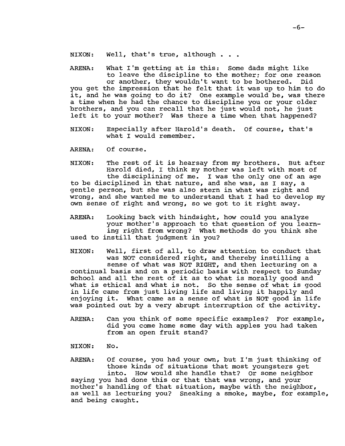NIXON: Well, that's true, although . . .

ARENA: What I'm getting at is this: Some dads might like to leave the discipline to the mother; for one reason or another, they wouldn't want to be bothered. Did

you get the impression that he felt that it was up to him to do it, and he was going to do it? One example would be, was there a time when he had the chance to discipline you or your older brothers, and you can recall that he just would not, he just left it to your mother? Was there a time when that happened?

- NIXON: Especially after Harold's death. Of course, that's what I would remember.
- ARENA: Of course.

NIXON: The rest of it is hearsay from my brothers. But after Harold died, I think my mother was left with most of the disciplining of me. I was the only one of an age to be disciplined in that nature, and she was, as I say, a

gentle person, but she was also stern in what was right and wrong, and she wanted me to understand that I had to develop my own sense of right and wrong, so we got to it right away.

ARENA: Looking back with hindsight, how could you analyze your mother's approach to that question of you learning right from wrong? What methods do you think she used to instill that judgment in you?

NIXON: Well, first of all, to draw attention to conduct that was NOT considered right, and thereby instilling a sense of what was NOT RIGHT, and then lecturing on a continual basis and on a periodic basis with respect to Sunday School and all the rest of it as to what is morally good and what is ethical and what is not. So the sense of what is good in life came from just living life and living it happily and enjoying it. What came as a sense of what is NOT good in life was pointed out by a very abrupt interruption of the activity.

- ARENA: Can you think of some specific examples? For example, did you come home some day with apples you had taken from an open fruit stand?
- NIXON: No.

and being caught.

ARENA: Of course, you had your own, but I'm just thinking of those kinds of situations that most youngsters get into. How would she handle that? Or some neighbor saying you had done this or that that was wrong, and your mother's handling of that situation, maybe with the neighbor, as well as lecturing you? Sneaking a smoke, maybe, for example,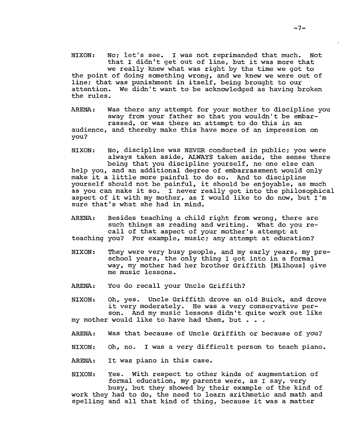NIXON: No; let's see. I was not reprimanded that much. Not that I didn't get out of line, but it was more that we really knew what was right by the time we got to the point of doing something wrong, and we knew we were out of line; that was punishment in itself, being brought to our attention. We didn't want to be acknowledged as having broken the rules.

ARENA: Was there any attempt for your mother to discipline you away from your father so that you wouldn't be embarrassed, or was there an attempt to do this in an audience, and thereby make this have more of an impression on you?

NIXON: No, discipline was NEVER conducted in public; you were always taken aside, ALWAYS taken aside, the sense there being that you discipline yourself, no one else can help you, and an additional degree of embarrassment would only make it a little more painful to do so. And to discipline yourself should not be painful, it should be enjoyable, as much as you can make it so. I never really got into the philosophical aspect of it with my mother, as I would like to do now, but I'm sure that's what she had in mind.

ARENA: Besides teaching a child right from wrong, there are such things as reading and writing. What do you recall of that aspect of your mother's attempt at<br>teaching you? For example, music; any attempt at educat: For example, music; any attempt at education?

- NIXON: They were very busy people, and my early years, my preschool years, the only thing I got into in a formal way, my mother had her brother Griffith [Milhous] give me music lessons.
- ARENA: You do recall your Uncle Griffith?

NIXON: Oh, yes. Uncle Griffith drove an old Buick, and drove it very moderately. He was a very conservative person. And my music lessons didn't quite work out like my mother would like to have had them, but . . .

- ARENA: Was that because of Uncle Griffith or because of you?
- NIXON: Oh, no. I was a very difficult person to teach piano.
- ARENA: It was piano in this case.

NIXON: Yes. with respect to other kinds of augmentation of formal education, my parents were, as I say, very busy, but they showed by their example of the kind of

work they had to do, the need to learn arithmetic and math and spelling and all that kind of thing, because it was a matter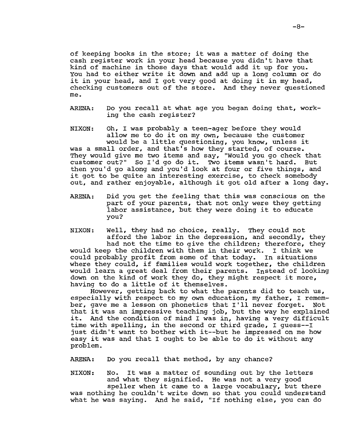of keeping books in the store; it was a matter of doing the cash register work in your head because you didn't have that kind of machine in those days that would add it up for you. You had to either write it down and add up a long column or do it in your head, and I got very good at doing it in my head, checking customers out of the store. And they never questioned me.

ARENA: Do you recall at what age you began doing that, working the cash register?

NIXON: Oh, I was probably a teen-ager before they would allow me to do it on my own, because the customer would be a little questioning, you know, unless it was a small order, and that's how they started, of course. They would give me two items and say, "Would you go check that customer out?" So I'd go do it. Two items wasn't hard. But then you'd go along and you'd look at four or five things, and it got to be quite an interesting exercise, to check somebody out, and rather enjoyable, although it got old after a long day.

ARENA: Did you get the feeling that this was conscious on the part of your parents, that not only were they getting labor assistance, but they were doing it to educate you?

NIXON: Well, they had no choice, really. They could not afford the labor in the depression, and secondly, they had not the time to give the children; therefore, they<br>be the children with them in their work. I think we would keep the children with them in their work. could probably profit from some of that today. In situations where they could, if families would work together, the children would learn a great deal from their parents. Instead of looking down on the kind of work they do, they might respect it more, having to do a little of it themselves.

However, getting back to what the parents did to teach us, especially with respect to my own education, my father, I remember, gave me a lesson on phonetics that I'll never forget. Not that it was an impressive teaching job, but the way he explained<br>it. And the condition of mind I was in. having a very difficult And the condition of mind I was in, having a very difficult time with spelling, in the second or third grade, I guess--I just didn't want to bother with it--but he impressed on me how easy it was and that I ought to be able to do it without any problem.

ARENA: Do you recall that method, by any chance?

NIXON: No. It was a matter of sounding out by the letters and what they signified. He was not a very good speller when it came to a large vocabulary, but there was nothing he couldn't write down so that you could understand what he was saying. And he said, "If nothing else, you can do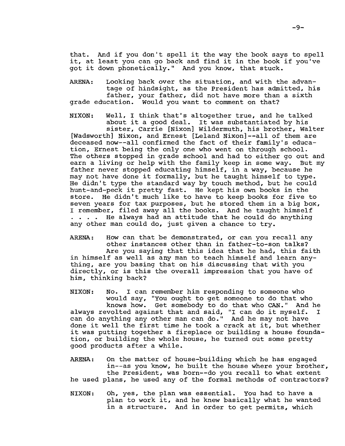that. And if you don't spell it the way the book says to spell it, at least you can go back and find it in the book if you've got it down phonetically." And you know, that stuck.

ARENA: Looking back over the situation, and with the advantage of hindsight, as the President has admitted, his father, your father, did not have more than a sixth grade education. Would you want to comment on that?

NIXON: Well, I think that's altogether true, and he talked about it a good deal. It was substantiated by his sister, Carrie [Nixon] Wildermuth, his brother, Walter [Wadsworth] Nixon, and Ernest [Leland Nixon]--all of them are deceased now--all confirmed the fact of their family's education, Ernest being the only one who went on through school. The others stopped in grade school and had to either go out and earn a living or help with the family keep in some way. But my father never stopped educating himself, in a way, because he may not have done it formally, but he taught himself to type. He didn't type the standard way by touch method, but he could hunt-and-peck it pretty fast. He kept his own books in the store. He didn't much like to have to keep books for five to seven years for tax purposes, but he stored them in a big box, I remember, filed away all the books. And he taught himself  $\cdot$   $\cdot$   $\cdot$  He always had an attitude that he could do anything any other man could do, just given a chance to try.

ARENA: How can that be demonstrated, or can you recall any other instances other than in father-to-son talks? Are you saying that this idea that he had, this faith in himself as well as any man to teach himself and learn anything, are you basing that on his discussing that with you directly, or is this the overall impression that you have of him, thinking back?

NIXON: No. I can remember him responding to someone who would say, "You ought to get someone to do that who knows how. Get somebody to do that who CAN." And he always revolted against that and said, "I can do it myself. I can do anything any other man can do." And he may not have done it well the first time he took a crack at it, but whether it was putting together a fireplace or building a house foundation, or building the whole house, he turned out some pretty good products after a while.

ARENA: On the matter of house-building which he has engaged in--as you know, he built the house where your brother, the President, was born--do you recall to what extent he used plans, he used any of the formal methods of contractors?

NIXON: Oh, yes, the plan was essential. You had to have a plan to work it, and he knew basically what he wanted in a structure. And in order to get permits, which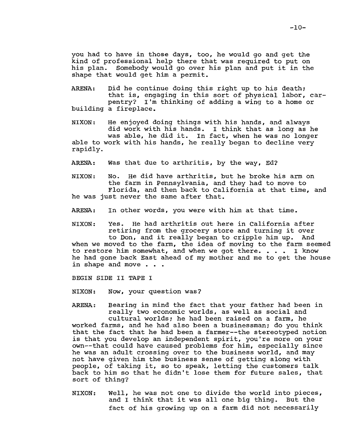you had to have in those days, too, he would go and get the kind of professional help there that was required to put on his plan. Somebody would go over his plan and put it *in* the shape that would get him a permit.

- ARENA: building a fireplace. Did he continue doing this right up to his death: that is, engaging in this sort of physical labor, carpentry? I'm thinking of adding a wing to a home or
- NIXON: He enjoyed doing things with his hands, and always did work with his hands. I think that as long as he was able, he did it. In fact, when he was no longer able to work with his hands, he really began to decline very rapidly.
- ARENA: Was that due to arthritis, by the way, Ed?
- NIXON: No. He did have arthritis, but he broke his arm on the farm in Pennsylvania, and they had to move to Florida, and then back to California at that time, and he was just never the same after that.
- ARENA: In other words, you were with him at that time.
- NIXON: Yes. He had arthritis out here in California after retiring from the grocery store and turning it over to Don, and it really began to cripple him up. And

when we moved to the farm, the idea of moving to the farm seemed to restore him somewhat, and when we got there. • • • I know he had gone back East ahead of my mother and me to get the house in shape and move . . .

BEGIN SIDE II TAPE I

sort of thing?

NIXON: Now, your question was?

ARENA: Bearing in mind the fact that your father had been in really two economic worlds, as well as social and cultural worlds: he had been raised on a farm, he worked farms, and he had also been a businessman: do you think that the fact that he had been a farmer--the stereotyped notion is that you develop an independent spirit, you're more on your own--that could have caused problems for him, especially since he was an adult crossing over to the business world, and may not have given him the business sense of getting along with people, of taking it, so to speak, letting the customers talk back to him so that he didn't lose them for future sales, that

NIXON: Well, he was not one to divide the world into pieces, and I think that it was all one big thing. But the fact of his growing up on a farm did not necessarily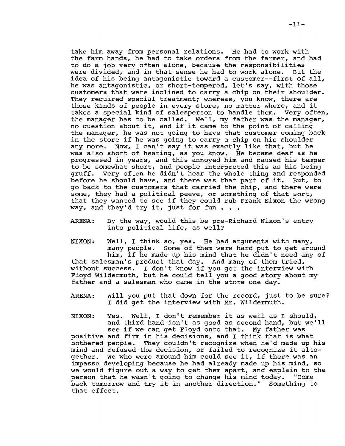take him away from personal relations. He had to work with the farm hands, he had to take orders from the farmer, and had to do a job very often alone, because the responsibilities were divided, and in that sense he had to work alone. But the idea of his being antagonistic toward a customer--first of all, he was antagonistic, or short-tempered, let's say, with those customers that were inclined to carry a chip on their shoulder. They required special treatment; whereas, you know, there are those kinds of people in every store, no matter where, and it takes a special kind of salesperson to handle them. Very often, the manager has to be called. Well, my father was the manager, no question about it, and if it came to the point of calling the manager, he was not going to have that customer coming back in the store if he was going to carry a chip on his shoulder any more. Now, I can't say it was exactly like that, but he was also short of hearing, as you know. He became deaf as he progressed in years, and this annoyed him and caused his temper to be somewhat short, and people interpreted this as his being gruff. Very often he didn't hear the whole thing and responded<br>before he should have, and there was that part of it. But, to before he should have, and there was that part of it. go back to the customers that carried the chip, and there were some, they had a political peeve, or something of that sort, some, they had a poirtical peeve, of something of that soft,<br>that they wanted to see if they could rub Frank Nixon the wrong<br>way, and they'd try it, just for fun . . .

ARENA: By the way, would this be pre-Richard Nixon's entry into political life, as well?

NIXON: Well, I think so, yes. He had arguments with many, many people. Some of them were hard put to get around him, if he made up his mind that he didn't need any of that salesman's product that day. And many of them tried, without success. I don't know if you got the interview with Floyd Wildermuth, but he could tell you a good story about my father and a salesman who came in the store one day.

ARENA: Will you put that down for the record, just to be sure? I did get the interview with Mr. Wildermuth.

NIXON: Yes. Well, I don't remember it as well as I should, and third hand isn't as good as second hand, but we'll see if we can get Floyd onto that. My father was positive and firm in his decisions, and I think that is what bothered people. They couldn't recognize when he'd made up his mind and refused the decision, or failed to recognize it altogether. We who were around him could see it, if there was an impasse developing because he had already made up his mind, so we would figure out a way to get them apart, and explain to the person that he wasn't going to change his mind today. "Come person that he wasn't going to change his mind today. back tomorrow and try it in another direction." Something to that effect.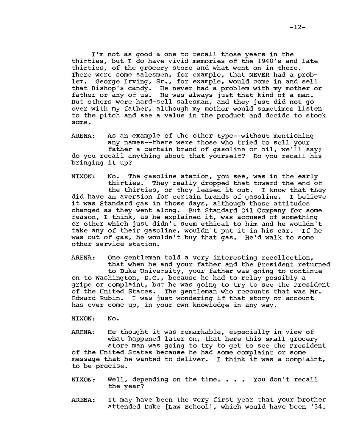I'm not as good a one to recall those years in the thirties, but I do have vivid memories of the 1940's and late thirties, of the grocery store and what went on in there. There were some salesmen, for example, that NEVER had a problem. George Irving, Sr., for example, would come in and sell that Bishop's candy. He never had a problem with my mother or father or any of us. He was always just that kind of a man. But others were hard-sell salesman, and they just did not go over with my father, although my mother would sometimes listen to the pitch and see a value in the product and decide to stock some.

ARENA: As an example of the other type--without mentioning any names--there were those who tried to sell your father a certain brand of gasoline or oil, we'll say: do you recall anything about that yourself? Do you recall his bringing it up?

NIXON: No. The gasoline station, you see, was in the early thirties. They really dropped that toward the end of the thirties, or they leased it out. I know that they did have an aversion for certain brands of gasoline. I believe it was Standard gas in those days, although those attitudes changed as they went along. But Standard Oil Company for some reason, I think, as he explained it, was accused of something or other which just didn't seem ethical to him and he wouldn't take any of their gasoline, wouldn't put it in his car. If he was out of gas, he wouldn't buy that gas. He'd walk to some other service station.

ARENA: One gentleman told a very interesting recollection, that when he and your father and the President returned to Duke University, your father was going to continue on to Washington, D.C., because he had to relay possibly a gripe or complaint, but he was going to try to see the President of the United States. The gentleman who recounts that was Mr. Edward Rubin. I was just wondering if that story or account has ever come up, in your own knowledge in any way.

NIXON: No.

ARENA: He thought it was remarkable, especially in view of what happened later on, that here this small grocery store man was going to try to get to see the President of the United States because he had some complaint or some message that he wanted to deliver. I think it was a complaint, to be precise.

- NIXON: Well, depending on the time. • You don't recall the year?
- ARENA: It may have been the very first year that your brother attended Duke [Law School], which would have been '34.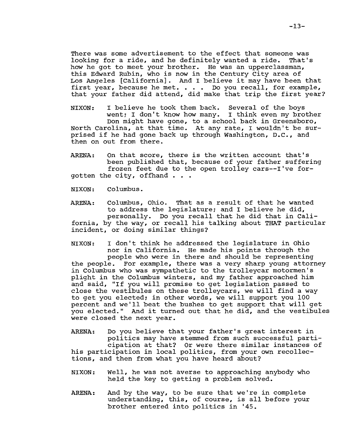There was some advertisement to the effect that someone was<br>looking for a ride, and he definitely wanted a ride. That's looking for a ride, and he definitely wanted a ride. how he got to meet your brother. He was an upperclassman, this Edward Rubin, who is now in the century City area of Los Angeles [California]. And I believe it may have been that first year, because he met. . . . Do you recall, for example, that your father did attend, did make that trip the first year?

NIXON: I believe he took them back. Several of the boys went; I don't know how many. I think even my brother Don might have gone, to a school back in Greensboro, North Carolina, at that time. At any rate, I wouldn't be surprised if he had gone back up through Washington, D.C., and then on out from there.

ARENA: On that score, there is the written account that's been published that, because of your father suffering frozen feet due to the open trolley cars--I've forgotten the city, offhand . . .

NIXON: Columbus.

ARENA: Columbus, Ohio. That as a result of that he wanted to address the legislature; and I believe he did, personally. Do you recall that he did that *in* California, by the way, or recall his talking about THAT particular incident, or doing similar things?

NIXON: I don't think he addressed the legislature in Ohio nor in California. He made his points through the people who were in there and should be representing the people. For example, there was a very sharp young attorney in columbus who was sympathetic to the trolleycar motormen's plight in the Columbus winters, and my father approached him and said, "If you will promise to get legislation passed to close the vestibules on these trolleycars, we will find a way to get you elected; in other words, we will support you 100 percent and we'll beat the bushes to get support that will get you elected." And it turned out that he did, and the vestibules were closed the next year.

ARENA: Do you believe that your father's great interest in politics may have stemmed from such successful participation at that? Or were there similar instances of his participation in local politics, from your own recollections, and then from what you have heard about?

- NIXON: Well, he was not averse to approaching anybody who held the key to getting a problem solved.
- ARENA: And by the way, to be sure that we're in complete understanding, this, of course, is all before your brother entered into politics in '45.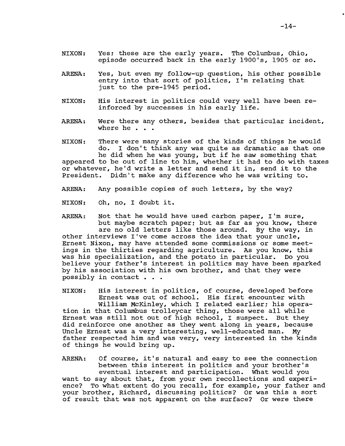- NIXON: Yes; these are the early years. The Columbus, Ohio, episode occurred back in the early 1900's, 1905 or so.
- ARENA: Yes, but even my follow-up question, his other possible entry into that sort of politics, I'm relating that just to the pre-1945 period.
- NIXON: His interest in politics could very well have been re inforced by successes in his early life.
- ARENA: Were there any others, besides that particular incident, where he $\cdot$   $\cdot$

NIXON: ne did when he was young, but if he saw something that<br>appeared to be out of line to him, whether it had to do with taxes There were many stories of the kinds of things he would do. I don't think any was quite as dramatic as that one he did when he was young, but if he saw something that or whatever, he'd write a letter and send it in, send it to the President. Didn't make any difference who he was writing to.

- ARENA: Any possible copies of such letters, by the way?
- NIXON: Oh, no, I doubt it.

ARENA: Not that he would have used carbon paper, I'm sure, but maybe scratch paper; but as far as you know, there are no old letters like those around. By the way, in other interviews I've come across the idea that your uncle, Ernest Nixon, may have attended some commissions or some meetings in the thirties regarding agriculture. As you know, this<br>was his specialization, and the potato in particular. Do you was his specialization, and the potato in particular. believe your father's interest in politics may have been sparked by his association with his own brother, and that they were possibly in contact . . .

NIXON: His interest in politics, of course, developed before Ernest was out of school. His first encounter with William McKinley, which I related earlier; his operation in that Columbus trolleycar thing, those were all while Ernest was still not out of high school, I suspect. But they did reinforce one another as they went along in years, because Uncle Ernest was a very interesting, well-educated man. My father respected him and was very, very interested in the kinds of things he would bring up.

ARENA: Of course, it's natural and easy to see the connection between this interest in politics and your brother's eventual interest and participation. What would you want to say about that, from your own recollections and experience? To what extent do you recall, for example, your father and your brother, Richard, discussing politics? Or was this a sort of result that was not apparent on the surface? Or were there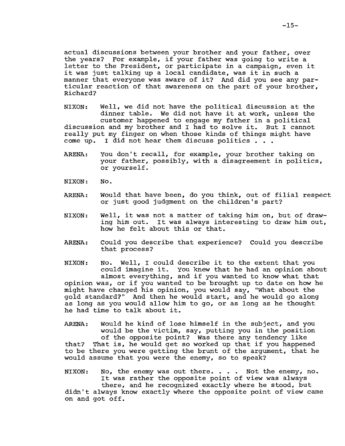actual discussions between your brother and your father, over the years? For example, if your father was going to write a letter to the President, or participate in a campaign, even it it was just talking up a local candidate, was it in such a manner that everyone was aware of it? And did you see any particular reaction of that awareness on the part of your brother, Richard?

NIXON: Well, we did not have the political discussion at the weil, we did not have the political discussion at the<br>dinner table. We did not have it at work, unless the customer happened to engage my father in a political discussion and my brother and I had to solve it. But I cannot really put my finger on when those kinds of things might have come up. I did not hear them discuss politics •••

- ARENA: You don't recall, for example, your brother taking on your father, possibly, with a disagreement in politics, or yourself.
- NIXON: No.
- ARENA: Would that have been, do you think, out of filial respect or just good judgment on the children's part?
- NIXON: Well, it was not a matter of taking him on, but of drawing him out. It was always interesting to draw him out, how he felt about this or that.
- ARENA: Could you describe that experience? Could you describe that process?

NIXON: No. Well, I could describe it to the extent that you could imagine it. You knew that he had an opinion about almost everything, and if you wanted to know what that opinion was, or if you wanted to be brought up to date on how he might have changed his opinion, you would say, "What about the gold standard?" And then he would start, and he would go along as long as you would allow him to go, or as long as he thought he had time to talk about it.

ARENA: Would he kind of lose himself in the subject, and you would be the victim, say, putting you in the position of the opposite point? Was there any tendency like that? That is, he would get so worked up that if you happened to be there you were getting the brunt of the argument, that he would assume that you were the enemy, so to speak?

NIXON: No, the enemy was out there. . . . Not the enemy, no. It was rather the opposite point of view was always there, and he recognized exactly where he stood, but didn't always know exactly where the opposite point of view came on and got off.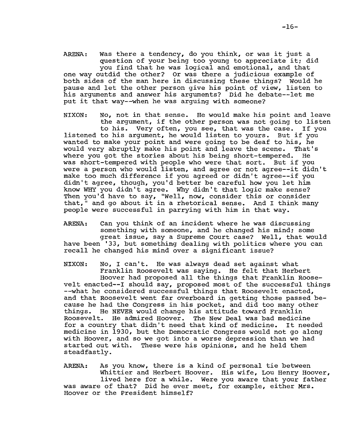ARENA: Was there a tendency, do you think, or was it just a question of your being too young to appreciate it; did you find that he was logical and emotional, and that one way outdid the other? Or was there a judicious example of both sides of the man here in discussing these things? Would he pause and let the other person give his point of view, listen to his arguments and answer his arguments? Did he debate--let me put it that way--when he was arguing with someone?

NIXON: No, not in that sense. He would make his point and leave the argument, if the other person was not going to listen to his. Very often, you see, that was the case. If you listened to his argument, he would listen to yours. But if you wanted to make your point and were going to be deaf to his, he would very abruptly make his point and leave the scene. That's<br>where you got the stories about his being short-tempered. He where you got the stories about his being short-tempered. was short-tempered with people who were that sort. But if you were a person who would listen, and agree or not agree--it didn't make too much difference if you agreed or didn't agree--if you didn't agree, though, you'd better be careful how you let him know WHY you didn't agree. Why didn't that logic make sense? Then you'd have to say, "Well, now, consider this or consider that," and go about it in a rhetorical sense. And I think many people were successful in parrying with him in that way.

ARENA: Can you think of an incident where he was discussing something with someone, and he changed his mind; some great issue, say a Supreme Court case? Well, that would have been '33, but something dealing with politics where you can recall he changed his mind over a significant issue?

NIXON: No, I can't. He was always dead set against what Franklin Roosevelt was saying. He felt that Herbert Hoover had proposed all the things that Franklin Roosevelt enacted--I should say, proposed most of the successful things --what he considered successful things that Roosevelt enacted, and that Roosevelt went far overboard in getting those passed because he had the Congress in his pocket, and did too many other things. He NEVER would change his attitude toward Franklin He admired Hoover. The New Deal was bad medicine<br>y that didn't need that kind of medicine. It needed for a country that didn't need that kind of medicine. medicine in 1930, but the Democratic Congress would not go along with Hoover, and so we got into a worse depression than we had started out with. These were his opinions, and he held them steadfastly.

ARENA: As you know, there is a kind of personal tie between Whittier and Herbert Hoover. His wife, Lou Henry Hoover, lived here for a while. Were you aware that your father was aware of that? Did he ever meet, for example, either Mrs. Hoover or the President himself?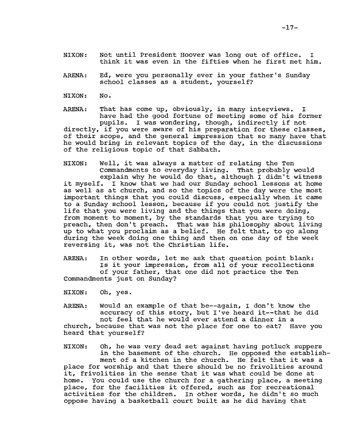- NIXON: Not until President Hoover was long out of office. I think it was even in the fifties when he first met him.
- ARENA: Ed, were you personally ever in your father's Sunday school classes as a student, yourself?
- NIXON: No.

ARENA: That has come up, obviously, in many interviews. I have had the good fortune of meeting some of his former pupils. I was wondering, though, indirectly if not directly, if you were aware of his preparation for these classes, of their scope, and the general impression that so many have that he would bring in relevant topics of the day, in the discussions of the religious topic of that Sabbath.

NIXON: Well, it was always a matter of relating the Ten Commandments to everyday living. That probably would explain why he would do that, although I didn't witness it myself. I know that we had our Sunday school lessons at home as well as at church, and so the topics of the day were the most important things that you could discuss, especially when it came to a Sunday school lesson, because if you could not justify the life that you were living and the things that you were doing, from moment to moment, by the standards that you are trying to preach, then don't preach. That was his philosophy about living up to what you proclaim as a belief. He felt that, to go along during the week doing one thing and then on one day of the week reversing it, was not the Christian life.

ARENA: In other words, let me ask that question point blank: Is it your impression, from all of your recollections of your father, that one did not practice the Ten Commandments just on Sunday?

NIXON: Oh, yes.

ARENA: Would an example of that be--again, I don't know the accuracy of this story, but I've heard it--that he did not feel that he would ever attend a dinner in a church, because that was not the place for one to eat? Have you heard that yourself?

NIXON: Oh, he was very dead set against having potluck suppers in the basement of the church. He opposed the establishment of a kitchen in the church. He felt that it was a place for worship and that there should be no frivolities around it, frivolities in the sense that it was what could be done at home. You could use the church for a gathering place, a meeting place, for the facilities it offered, such as for recreational activities for the children. In other words, he didn't so much oppose having a basketball court built as he did having that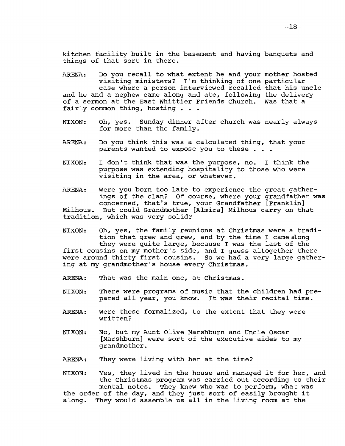kitchen facility built in the basement and having banquets and things of that sort in there.

ARENA: and he and a nephew came along and ate, following the delivery of a sermon at the East Whittier Friends Church. Was that a fairly common thing, hosting . . . fairly common thing, hosting . . . Do you recall to what extent he and your mother hosted visiting ministers? I'm thinking of one particular case where a person interviewed recalled that his uncle

- $NIXON:$ for more than the family. yes. Sunday dinner after church was nearly always
- ARENA: Do you think this was a calculated thing, that your parents wanted to expose you to these . . .
- NIXON: I don't think that was the purpose, no. I think the purpose was extending hospitality to those who were visiting in the area, or whatever.

ARENA: Were you born too late to experience the great gatherings of the clan? Of course, where your grandfather was concerned, that's true, your Grandfather [Franklin] Milhous. But could Grandmother [Almira] Milhous carryon that tradition, which was very solid?

NIXON: Oh, yes, the family reunions at Christmas were a tradition that grew and grew, and by the time I came along they were quite large, because I was the last of the first cousins on my mother's side, and I guess altogether there were around thirty first cousins. So we had a very large gathering at my grandmother's house every Christmas.

ARENA: That was the main one, at Christmas.

- NIXON: There were programs of music that the children had prepared all year, you know. It was their recital time.
- ARENA: Were these formalized, to the extent that they were written?
- NIXON: No, but my Aunt Olive Marshburn and Uncle Oscar [Marshburn] were sort of the executive aides to my grandmother.
- ARENA: They were living with her at the time?

NIXON: Yes, they lived in the house and managed it for her, and the Christmas program was carried out according to their mental notes. They knew who was to perform, what was the order of the day, and they just sort of easily brought it<br>along. They would assemble us all in the living room at the They would assemble us all in the living room at the